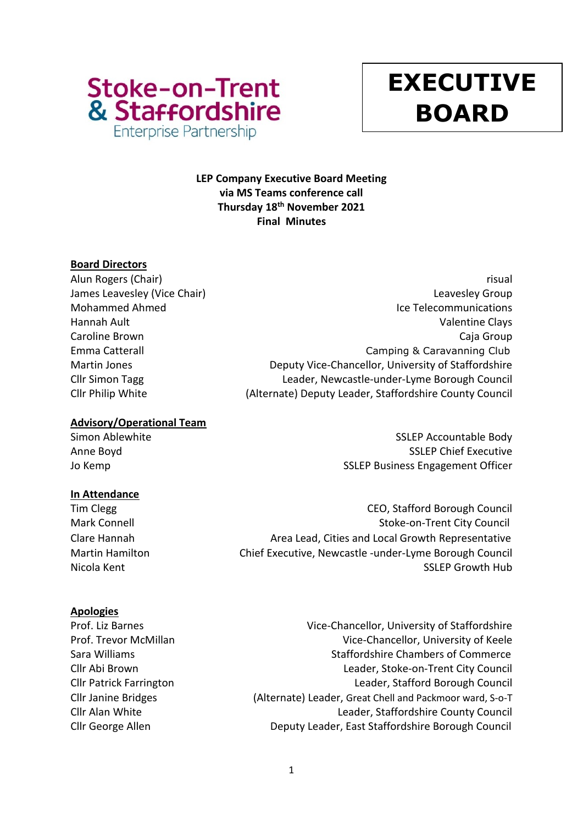

# **y EXECUTIVE BOARD**

# **LEP Company Executive Board Meeting via MS Teams conference call Thursday 18th November 2021 Final Minutes**

# **Board Directors**

# **Advisory/Operational Team**

# **In Attendance**

# **Apologies**

Alun Rogers (Chair) **risual** James Leavesley (Vice Chair) **Leaves According to the Chair** Chair Chair Chair Chair Chair Chair Chair Chair Chai Mohammed Ahmed **Internal Internal Internal Internal Internal Ice Telecommunications** Hannah Ault Valentine Clays Caroline Brown Caja Group Emma Catterall Camping & Caravanning Club Martin Jones Deputy Vice-Chancellor, University of Staffordshire Cllr Simon Tagg Leader, Newcastle-under-Lyme Borough Council Cllr Philip White (Alternate) Deputy Leader, Staffordshire County Council

Simon Ablewhite Samuel Communications of the SSLEP Accountable Body Anne Boyd **SSLEP Chief Executive** Jo Kemp **SSLEP Business Engagement Officer** 

Tim Clegg CEO, Stafford Borough Council Mark Connell **Mark Connell** Stoke-on-Trent City Council Clare Hannah Area Lead, Cities and Local Growth Representative Martin Hamilton Chief Executive, Newcastle -under-Lyme Borough Council Nicola Kent **SSLEP Growth Hub** 

Prof. Liz Barnes **Vice-Chancellor**, University of Staffordshire Prof. Trevor McMillan 2008 and Vice-Chancellor, University of Keele Sara Williams **Sara Williams** Staffordshire Chambers of Commerce Cllr Abi Brown Leader, Stoke-on-Trent City Council Cllr Patrick Farrington Leader, Stafford Borough Council Cllr Janine Bridges (Alternate) Leader, Great Chell and Packmoor ward, S-o-T Cllr Alan White Leader, Staffordshire County Council Cllr George Allen Deputy Leader, East Staffordshire Borough Council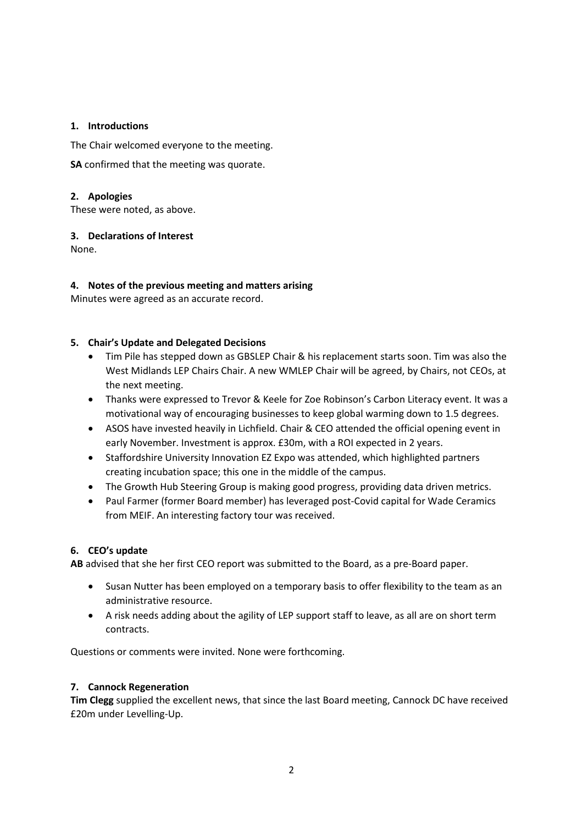#### **1. Introductions**

The Chair welcomed everyone to the meeting.

**SA** confirmed that the meeting was quorate.

#### **2. Apologies**

These were noted, as above.

# **3. Declarations of Interest**

None.

# **4. Notes of the previous meeting and matters arising**

Minutes were agreed as an accurate record.

#### **5. Chair's Update and Delegated Decisions**

- Tim Pile has stepped down as GBSLEP Chair & his replacement starts soon. Tim was also the West Midlands LEP Chairs Chair. A new WMLEP Chair will be agreed, by Chairs, not CEOs, at the next meeting.
- Thanks were expressed to Trevor & Keele for Zoe Robinson's Carbon Literacy event. It was a motivational way of encouraging businesses to keep global warming down to 1.5 degrees.
- ASOS have invested heavily in Lichfield. Chair & CEO attended the official opening event in early November. Investment is approx. £30m, with a ROI expected in 2 years.
- Staffordshire University Innovation EZ Expo was attended, which highlighted partners creating incubation space; this one in the middle of the campus.
- The Growth Hub Steering Group is making good progress, providing data driven metrics.
- Paul Farmer (former Board member) has leveraged post-Covid capital for Wade Ceramics from MEIF. An interesting factory tour was received.

# **6. CEO's update**

**AB** advised that she her first CEO report was submitted to the Board, as a pre-Board paper.

- Susan Nutter has been employed on a temporary basis to offer flexibility to the team as an administrative resource.
- A risk needs adding about the agility of LEP support staff to leave, as all are on short term contracts.

Questions or comments were invited. None were forthcoming.

#### **7. Cannock Regeneration**

**Tim Clegg** supplied the excellent news, that since the last Board meeting, Cannock DC have received £20m under Levelling-Up.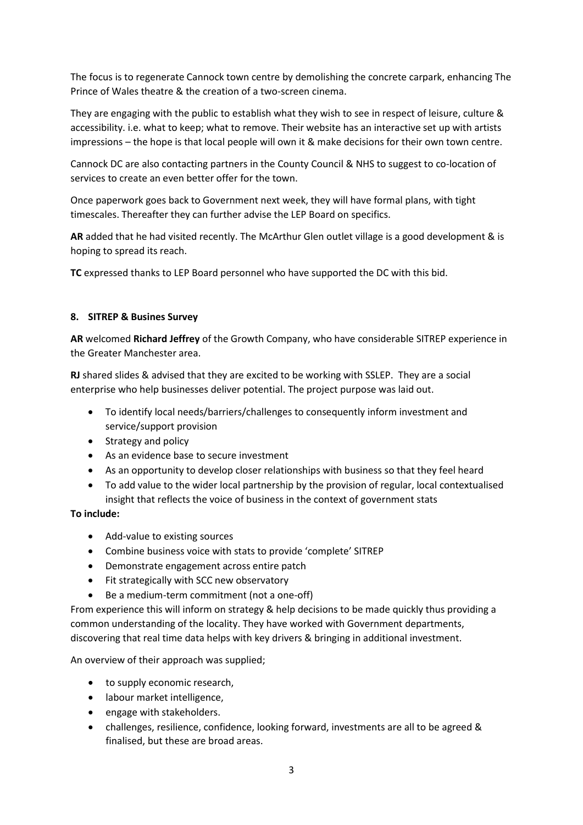The focus is to regenerate Cannock town centre by demolishing the concrete carpark, enhancing The Prince of Wales theatre & the creation of a two-screen cinema.

They are engaging with the public to establish what they wish to see in respect of leisure, culture & accessibility. i.e. what to keep; what to remove. Their website has an interactive set up with artists impressions – the hope is that local people will own it & make decisions for their own town centre.

Cannock DC are also contacting partners in the County Council & NHS to suggest to co-location of services to create an even better offer for the town.

Once paperwork goes back to Government next week, they will have formal plans, with tight timescales. Thereafter they can further advise the LEP Board on specifics.

**AR** added that he had visited recently. The McArthur Glen outlet village is a good development & is hoping to spread its reach.

**TC** expressed thanks to LEP Board personnel who have supported the DC with this bid.

#### **8. SITREP & Busines Survey**

**AR** welcomed **Richard Jeffrey** of the Growth Company, who have considerable SITREP experience in the Greater Manchester area.

**RJ** shared slides & advised that they are excited to be working with SSLEP. They are a social enterprise who help businesses deliver potential. The project purpose was laid out.

- To identify local needs/barriers/challenges to consequently inform investment and service/support provision
- Strategy and policy
- As an evidence base to secure investment
- As an opportunity to develop closer relationships with business so that they feel heard
- To add value to the wider local partnership by the provision of regular, local contextualised insight that reflects the voice of business in the context of government stats

# **To include:**

- Add-value to existing sources
- Combine business voice with stats to provide 'complete' SITREP
- Demonstrate engagement across entire patch
- Fit strategically with SCC new observatory
- Be a medium-term commitment (not a one-off)

From experience this will inform on strategy & help decisions to be made quickly thus providing a common understanding of the locality. They have worked with Government departments, discovering that real time data helps with key drivers & bringing in additional investment.

An overview of their approach was supplied;

- to supply economic research,
- labour market intelligence,
- engage with stakeholders.
- challenges, resilience, confidence, looking forward, investments are all to be agreed & finalised, but these are broad areas.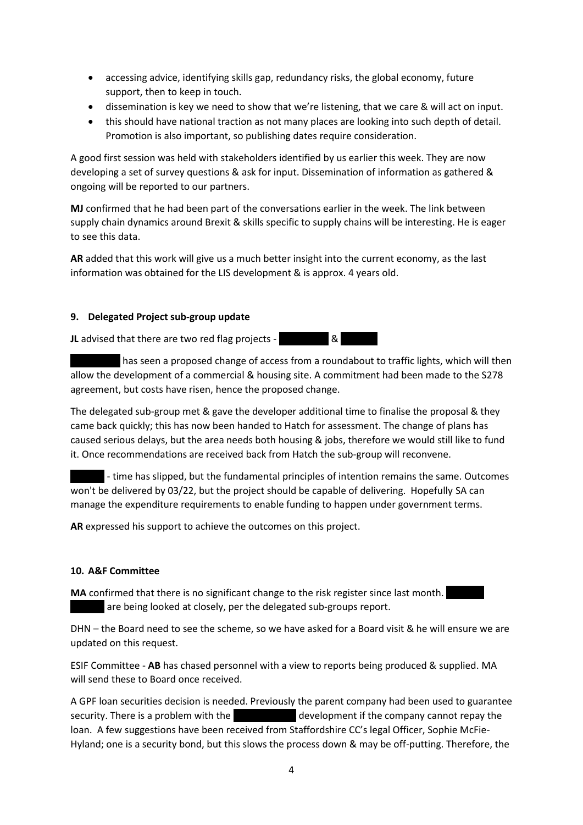- accessing advice, identifying skills gap, redundancy risks, the global economy, future support, then to keep in touch.
- dissemination is key we need to show that we're listening, that we care & will act on input.
- this should have national traction as not many places are looking into such depth of detail. Promotion is also important, so publishing dates require consideration.

A good first session was held with stakeholders identified by us earlier this week. They are now developing a set of survey questions & ask for input. Dissemination of information as gathered & ongoing will be reported to our partners.

**MJ** confirmed that he had been part of the conversations earlier in the week. The link between supply chain dynamics around Brexit & skills specific to supply chains will be interesting. He is eager to see this data.

**AR** added that this work will give us a much better insight into the current economy, as the last information was obtained for the LIS development & is approx. 4 years old.

# **9. Delegated Project sub-group update**

**JL** advised that there are two red flag projects - **Blue All 20 SI** 

has seen a proposed change of access from a roundabout to traffic lights, which will then allow the development of a commercial & housing site. A commitment had been made to the S278 agreement, but costs have risen, hence the proposed change.

The delegated sub-group met & gave the developer additional time to finalise the proposal & they came back quickly; this has now been handed to Hatch for assessment. The change of plans has caused serious delays, but the area needs both housing & jobs, therefore we would still like to fund it. Once recommendations are received back from Hatch the sub-group will reconvene.

- time has slipped, but the fundamental principles of intention remains the same. Outcomes won't be delivered by 03/22, but the project should be capable of delivering. Hopefully SA can manage the expenditure requirements to enable funding to happen under government terms.

**AR** expressed his support to achieve the outcomes on this project.

#### **10. A&F Committee**

**MA** confirmed that there is no significant change to the risk register since last month. are being looked at closely, per the delegated sub-groups report.

DHN – the Board need to see the scheme, so we have asked for a Board visit & he will ensure we are updated on this request.

ESIF Committee - **AB** has chased personnel with a view to reports being produced & supplied. MA will send these to Board once received.

A GPF loan securities decision is needed. Previously the parent company had been used to guarantee security. There is a problem with the London House development if the company cannot repay the loan. A few suggestions have been received from Staffordshire CC's legal Officer, Sophie McFie-Hyland; one is a security bond, but this slows the process down & may be off-putting. Therefore, the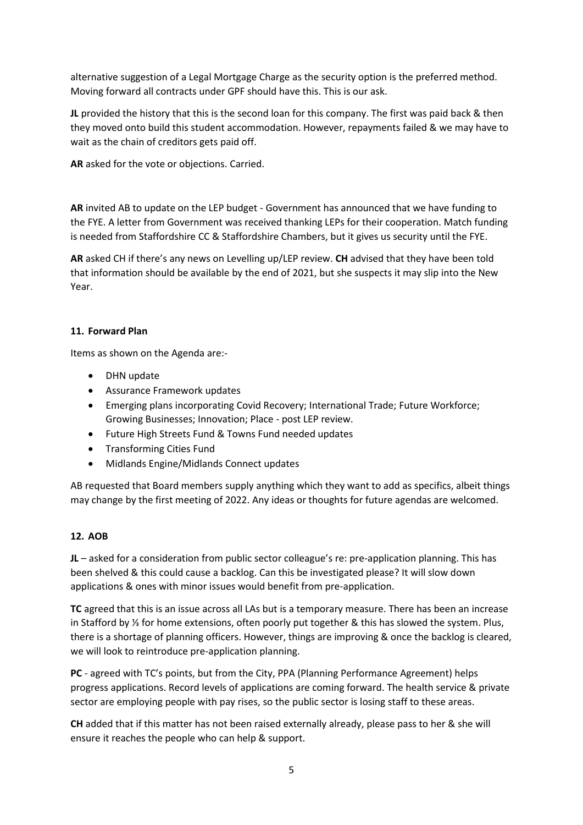alternative suggestion of a Legal Mortgage Charge as the security option is the preferred method. Moving forward all contracts under GPF should have this. This is our ask.

**JL** provided the history that this is the second loan for this company. The first was paid back & then they moved onto build this student accommodation. However, repayments failed & we may have to wait as the chain of creditors gets paid off.

**AR** asked for the vote or objections. Carried.

**AR** invited AB to update on the LEP budget - Government has announced that we have funding to the FYE. A letter from Government was received thanking LEPs for their cooperation. Match funding is needed from Staffordshire CC & Staffordshire Chambers, but it gives us security until the FYE.

**AR** asked CH if there's any news on Levelling up/LEP review. **CH** advised that they have been told that information should be available by the end of 2021, but she suspects it may slip into the New Year.

# **11. Forward Plan**

Items as shown on the Agenda are:-

- DHN update
- Assurance Framework updates
- Emerging plans incorporating Covid Recovery; International Trade; Future Workforce; Growing Businesses; Innovation; Place - post LEP review.
- Future High Streets Fund & Towns Fund needed updates
- Transforming Cities Fund
- Midlands Engine/Midlands Connect updates

AB requested that Board members supply anything which they want to add as specifics, albeit things may change by the first meeting of 2022. Any ideas or thoughts for future agendas are welcomed.

#### **12. AOB**

**JL** – asked for a consideration from public sector colleague's re: pre-application planning. This has been shelved & this could cause a backlog. Can this be investigated please? It will slow down applications & ones with minor issues would benefit from pre-application.

**TC** agreed that this is an issue across all LAs but is a temporary measure. There has been an increase in Stafford by ⅓ for home extensions, often poorly put together & this has slowed the system. Plus, there is a shortage of planning officers. However, things are improving & once the backlog is cleared, we will look to reintroduce pre-application planning.

**PC** - agreed with TC's points, but from the City, PPA (Planning Performance Agreement) helps progress applications. Record levels of applications are coming forward. The health service & private sector are employing people with pay rises, so the public sector is losing staff to these areas.

**CH** added that if this matter has not been raised externally already, please pass to her & she will ensure it reaches the people who can help & support.